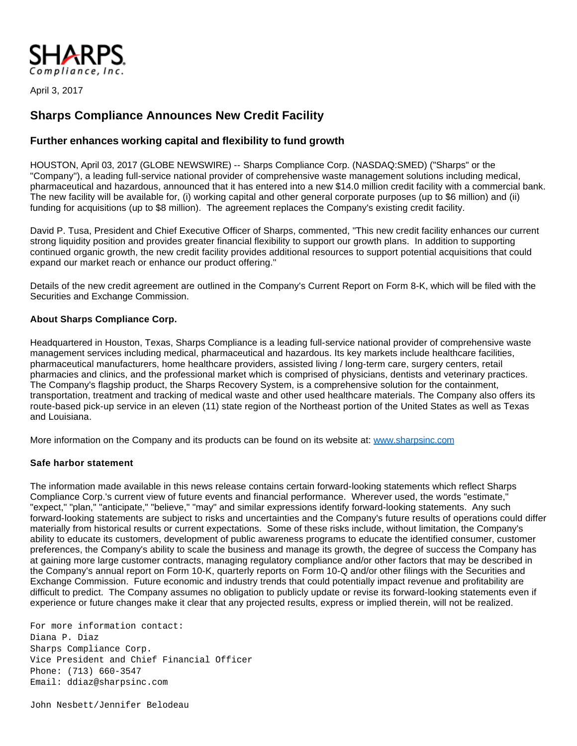

April 3, 2017

## **Sharps Compliance Announces New Credit Facility**

## **Further enhances working capital and flexibility to fund growth**

HOUSTON, April 03, 2017 (GLOBE NEWSWIRE) -- Sharps Compliance Corp. (NASDAQ:SMED) ("Sharps" or the "Company"), a leading full-service national provider of comprehensive waste management solutions including medical, pharmaceutical and hazardous, announced that it has entered into a new \$14.0 million credit facility with a commercial bank. The new facility will be available for, (i) working capital and other general corporate purposes (up to \$6 million) and (ii) funding for acquisitions (up to \$8 million). The agreement replaces the Company's existing credit facility.

David P. Tusa, President and Chief Executive Officer of Sharps, commented, "This new credit facility enhances our current strong liquidity position and provides greater financial flexibility to support our growth plans. In addition to supporting continued organic growth, the new credit facility provides additional resources to support potential acquisitions that could expand our market reach or enhance our product offering."

Details of the new credit agreement are outlined in the Company's Current Report on Form 8-K, which will be filed with the Securities and Exchange Commission.

## **About Sharps Compliance Corp.**

Headquartered in Houston, Texas, Sharps Compliance is a leading full-service national provider of comprehensive waste management services including medical, pharmaceutical and hazardous. Its key markets include healthcare facilities, pharmaceutical manufacturers, home healthcare providers, assisted living / long-term care, surgery centers, retail pharmacies and clinics, and the professional market which is comprised of physicians, dentists and veterinary practices. The Company's flagship product, the Sharps Recovery System, is a comprehensive solution for the containment, transportation, treatment and tracking of medical waste and other used healthcare materials. The Company also offers its route-based pick-up service in an eleven (11) state region of the Northeast portion of the United States as well as Texas and Louisiana.

More information on the Company and its products can be found on its website at: [www.sharpsinc.com](https://www.globenewswire.com/Tracker?data=fmMpnUroOhO_LvYOw8k34-fUAsiR-mWBs0-7FOIZsXTgRRwzI4BqUUagFFpg2VrF2obepGyYkGt_buMcOagaXA==)

## **Safe harbor statement**

The information made available in this news release contains certain forward-looking statements which reflect Sharps Compliance Corp.'s current view of future events and financial performance. Wherever used, the words "estimate," "expect," "plan," "anticipate," "believe," "may" and similar expressions identify forward-looking statements. Any such forward-looking statements are subject to risks and uncertainties and the Company's future results of operations could differ materially from historical results or current expectations. Some of these risks include, without limitation, the Company's ability to educate its customers, development of public awareness programs to educate the identified consumer, customer preferences, the Company's ability to scale the business and manage its growth, the degree of success the Company has at gaining more large customer contracts, managing regulatory compliance and/or other factors that may be described in the Company's annual report on Form 10-K, quarterly reports on Form 10-Q and/or other filings with the Securities and Exchange Commission. Future economic and industry trends that could potentially impact revenue and profitability are difficult to predict. The Company assumes no obligation to publicly update or revise its forward-looking statements even if experience or future changes make it clear that any projected results, express or implied therein, will not be realized.

For more information contact: Diana P. Diaz Sharps Compliance Corp. Vice President and Chief Financial Officer Phone: (713) 660-3547 Email: ddiaz@sharpsinc.com

John Nesbett/Jennifer Belodeau